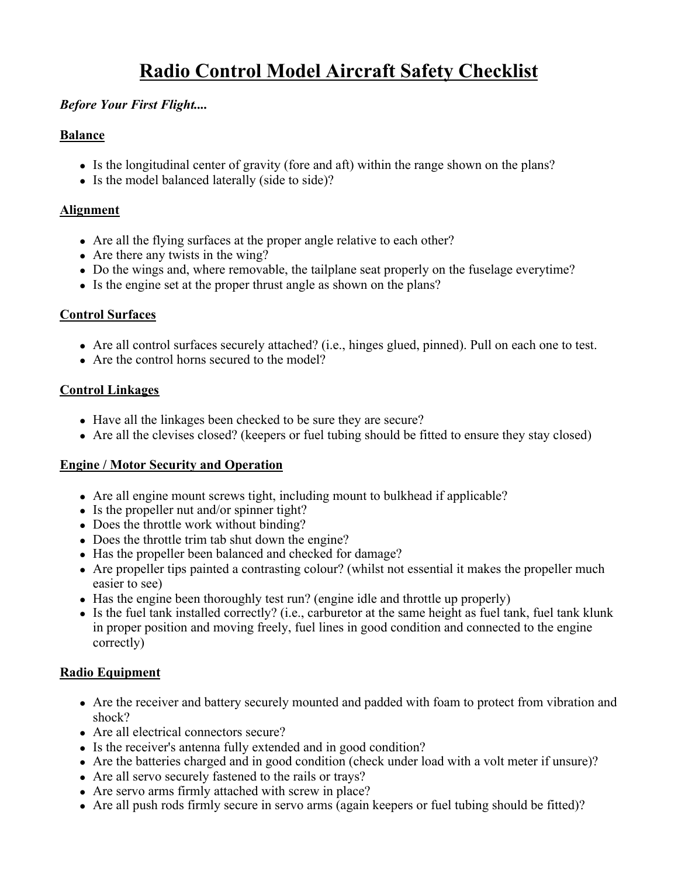# **Radio Control Model Aircraft Safety Checklist**

## *Before Your First Flight....*

#### **Balance**

- $\bullet$  Is the longitudinal center of gravity (fore and aft) within the range shown on the plans?
- Is the model balanced laterally (side to side)?

## **Alignment**

- Are all the flying surfaces at the proper angle relative to each other?
- Are there any twists in the wing?
- Do the wings and, where removable, the tailplane seat properly on the fuselage everytime?
- Is the engine set at the proper thrust angle as shown on the plans?

## **Control Surfaces**

- Are all control surfaces securely attached? (i.e., hinges glued, pinned). Pull on each one to test.
- Are the control horns secured to the model?

# **Control Linkages**

- Have all the linkages been checked to be sure they are secure?
- Are all the clevises closed? (keepers or fuel tubing should be fitted to ensure they stay closed)

## **Engine / Motor Security and Operation**

- Are all engine mount screws tight, including mount to bulkhead if applicable?
- Is the propeller nut and/or spinner tight?
- Does the throttle work without binding?
- Does the throttle trim tab shut down the engine?
- Has the propeller been balanced and checked for damage?
- Are propeller tips painted a contrasting colour? (whilst not essential it makes the propeller much easier to see)
- $\bullet$  Has the engine been thoroughly test run? (engine idle and throttle up properly)
- $\bullet$  Is the fuel tank installed correctly? (i.e., carburetor at the same height as fuel tank, fuel tank klunk in proper position and moving freely, fuel lines in good condition and connected to the engine correctly)

# **Radio Equipment**

- Are the receiver and battery securely mounted and padded with foam to protect from vibration and shock?
- Are all electrical connectors secure?
- Is the receiver's antenna fully extended and in good condition?
- Are the batteries charged and in good condition (check under load with a volt meter if unsure)?
- Are all servo securely fastened to the rails or trays?
- Are servo arms firmly attached with screw in place?
- Are all push rods firmly secure in servo arms (again keepers or fuel tubing should be fitted)?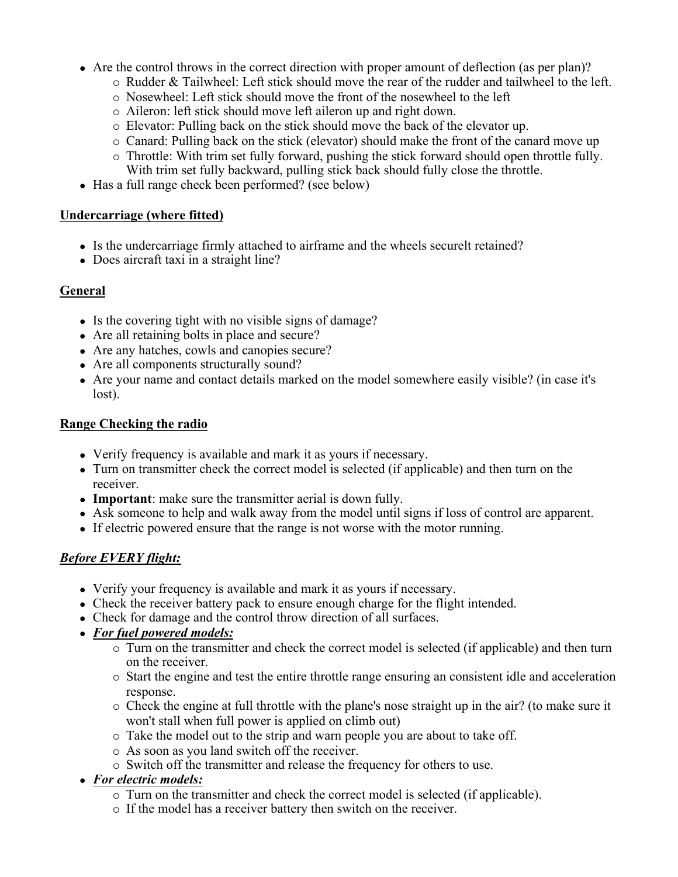- Are the control throws in the correct direction with proper amount of deflection (as per plan)?
	- $\circ$  Rudder & Tailwheel: Left stick should move the rear of the rudder and tailwheel to the left.
	- $\circ$  Nosewheel: Left stick should move the front of the nosewheel to the left
	- $\circ$  Aileron: left stick should move left aileron up and right down.
	- { Elevator: Pulling back on the stick should move the back of the elevator up.
	- $\circ$  Canard: Pulling back on the stick (elevator) should make the front of the canard move up
	- $\circ$  Throttle: With trim set fully forward, pushing the stick forward should open throttle fully. With trim set fully backward, pulling stick back should fully close the throttle.
- Has a full range check been performed? (see below)

#### **Undercarriage (where fitted)**

- Is the undercarriage firmly attached to airframe and the wheels securelt retained?
- Does aircraft taxi in a straight line?

#### **General**

- Is the covering tight with no visible signs of damage?
- Are all retaining bolts in place and secure?
- Are any hatches, cowls and canopies secure?
- Are all components structurally sound?
- Are your name and contact details marked on the model somewhere easily visible? (in case it's lost).

#### **Range Checking the radio**

- Verify frequency is available and mark it as yours if necessary.
- Turn on transmitter check the correct model is selected (if applicable) and then turn on the receiver.
- **Important**: make sure the transmitter aerial is down fully.
- Ask someone to help and walk away from the model until signs if loss of control are apparent.
- If electric powered ensure that the range is not worse with the motor running.

## *Before EVERY flight:*

- Verify your frequency is available and mark it as yours if necessary.
- Check the receiver battery pack to ensure enough charge for the flight intended.
- Check for damage and the control throw direction of all surfaces.
- <sup>z</sup> *For fuel powered models:*
	- $\circ$  Turn on the transmitter and check the correct model is selected (if applicable) and then turn on the receiver.
	- $\circ$  Start the engine and test the entire throttle range ensuring an consistent idle and acceleration response.
	- { Check the engine at full throttle with the plane's nose straight up in the air? (to make sure it won't stall when full power is applied on climb out)
	- $\circ$  Take the model out to the strip and warn people you are about to take off.
	- $\circ$  As soon as you land switch off the receiver.
	- $\circ$  Switch off the transmitter and release the frequency for others to use.
- <sup>z</sup> *For electric models:*
	- $\circ$  Turn on the transmitter and check the correct model is selected (if applicable).
	- $\circ$  If the model has a receiver battery then switch on the receiver.